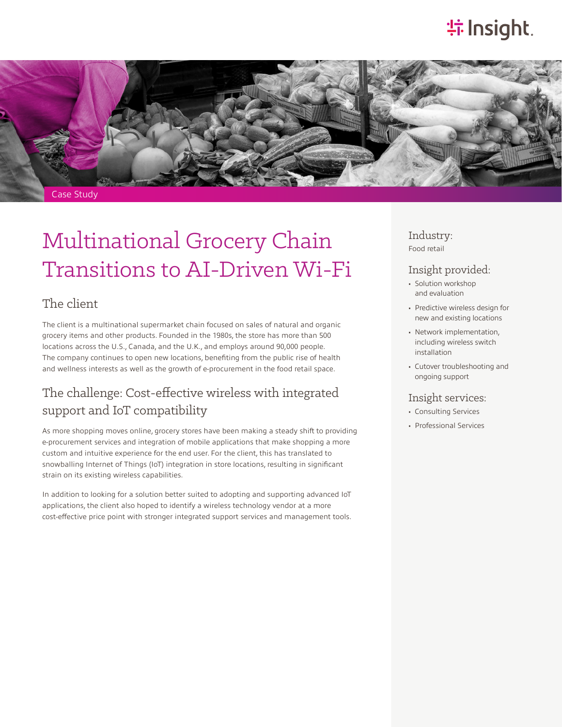# **特Insight**.



# Multinational Grocery Chain Transitions to AI-Driven Wi-Fi

### The client

The client is a multinational supermarket chain focused on sales of natural and organic grocery items and other products. Founded in the 1980s, the store has more than 500 locations across the U.S., Canada, and the U.K., and employs around 90,000 people. The company continues to open new locations, benefiting from the public rise of health and wellness interests as well as the growth of e-procurement in the food retail space.

### The challenge: Cost-effective wireless with integrated support and IoT compatibility

As more shopping moves online, grocery stores have been making a steady shift to providing e-procurement services and integration of mobile applications that make shopping a more custom and intuitive experience for the end user. For the client, this has translated to snowballing Internet of Things (IoT) integration in store locations, resulting in significant strain on its existing wireless capabilities.

In addition to looking for a solution better suited to adopting and supporting advanced IoT applications, the client also hoped to identify a wireless technology vendor at a more cost-effective price point with stronger integrated support services and management tools. Industry: Food retail

#### Insight provided:

- Solution workshop and evaluation
- Predictive wireless design for new and existing locations
- Network implementation, including wireless switch installation
- Cutover troubleshooting and ongoing support

#### Insight services:

- Consulting Services
- Professional Services